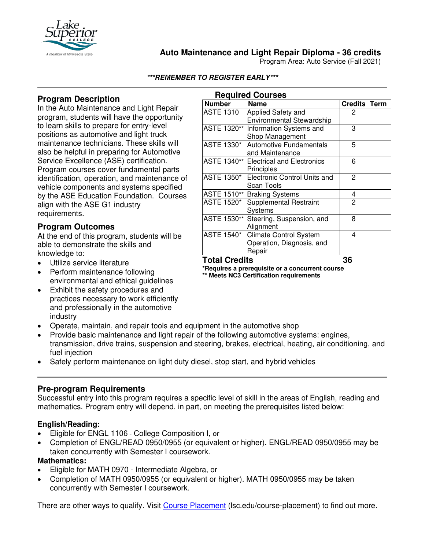

## **Auto Maintenance and Light Repair Diploma - 36 credits**

**Required Courses**

Program Area: Auto Service (Fall 2021)

#### **\*\*\*REMEMBER TO REGISTER EARLY\*\*\***

## **Program Description**

In the Auto Maintenance and Light Repair program, students will have the opportunity to learn skills to prepare for entry-level positions as automotive and light truck maintenance technicians. These skills will also be helpful in preparing for Automotive Service Excellence (ASE) certification. Program courses cover fundamental parts identification, operation, and maintenance of vehicle components and systems specified by the ASE Education Foundation. Courses align with the ASE G1 industry requirements*.*

### **Program Outcomes**

At the end of this program, students will be able to demonstrate the skills and knowledge to:

- Utilize service literature
- Perform maintenance following environmental and ethical guidelines
- Exhibit the safety procedures and practices necessary to work efficiently and professionally in the automotive industry
- Operate, maintain, and repair tools and equipment in the automotive shop
- Provide basic maintenance and light repair of the following automotive systems: engines, transmission, drive trains, suspension and steering, brakes, electrical, heating, air conditioning, and
- Safely perform maintenance on light duty diesel, stop start, and hybrid vehicles

#### **Pre-program Requirements**

Successful entry into this program requires a specific level of skill in the areas of English, reading and mathematics. Program entry will depend, in part, on meeting the prerequisites listed below:

#### **English/Reading:**

fuel injection

- Eligible for ENGL 1106 College Composition I, or
- Completion of ENGL/READ 0950/0955 (or equivalent or higher). ENGL/READ 0950/0955 may be taken concurrently with Semester I coursework.

#### **Mathematics:**

- Eligible for MATH 0970 Intermediate Algebra, or
- Completion of MATH 0950/0955 (or equivalent or higher). MATH 0950/0955 may be taken concurrently with Semester I coursework.

There are other ways to qualify. Visit [Course Placement](https://lsc.edu/course-placement) (lsc.edu/course-placement) to find out more.

| <b>Required Courses</b> |                                        |                |  |
|-------------------------|----------------------------------------|----------------|--|
| <b>Number</b>           | Name                                   | Credits Term   |  |
| <b>ASTE 1310</b>        | Applied Safety and                     | 2              |  |
|                         | <b>Environmental Stewardship</b>       |                |  |
|                         | ASTE 1320**   Information Systems and  | 3              |  |
|                         | Shop Management                        |                |  |
| ASTE 1330*              | <b>Automotive Fundamentals</b>         | 5              |  |
|                         | and Maintenance                        |                |  |
|                         | ASTE 1340** Electrical and Electronics | 6              |  |
|                         | Principles                             |                |  |
| <b>ASTE 1350*</b>       | <b>Electronic Control Units and</b>    | $\overline{2}$ |  |
|                         | Scan Tools                             |                |  |
|                         | ASTE 1510** Braking Systems            | 4              |  |
| <b>ASTE 1520*</b>       | <b>Supplemental Restraint</b>          | 2              |  |
|                         | <b>Systems</b>                         |                |  |
| ASTE 1530**             | Steering, Suspension, and              | 8              |  |
|                         | Alignment                              |                |  |
| <b>ASTE 1540*</b>       | <b>Climate Control System</b>          | 4              |  |
|                         | Operation, Diagnosis, and              |                |  |
|                         | Repair                                 |                |  |

**Total Credits 36**

**\*Requires a prerequisite or a concurrent course \*\* Meets NC3 Certification requirements**